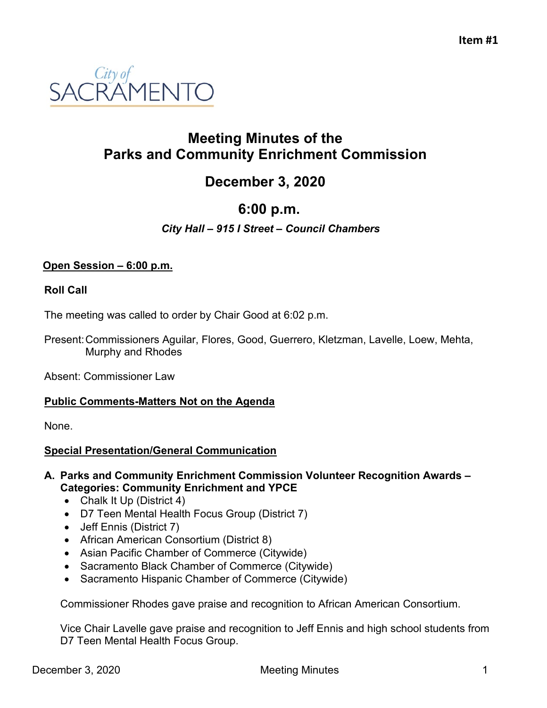

## **Meeting Minutes of the Parks and Community Enrichment Commission**

# **December 3, 2020**

# **6:00 p.m.**

### *City Hall – 915 I Street – Council Chambers*

#### **Open Session – 6:00 p.m.**

#### **Roll Call**

The meeting was called to order by Chair Good at 6:02 p.m.

Present:Commissioners Aguilar, Flores, Good, Guerrero, Kletzman, Lavelle, Loew, Mehta, Murphy and Rhodes

Absent: Commissioner Law

#### **Public Comments-Matters Not on the Agenda**

None.

#### **Special Presentation/General Communication**

#### **A. Parks and Community Enrichment Commission Volunteer Recognition Awards – Categories: Community Enrichment and YPCE**

- Chalk It Up (District 4)
- D7 Teen Mental Health Focus Group (District 7)
- Jeff Ennis (District 7)
- African American Consortium (District 8)
- Asian Pacific Chamber of Commerce (Citywide)
- Sacramento Black Chamber of Commerce (Citywide)
- Sacramento Hispanic Chamber of Commerce (Citywide)

Commissioner Rhodes gave praise and recognition to African American Consortium.

Vice Chair Lavelle gave praise and recognition to Jeff Ennis and high school students from D7 Teen Mental Health Focus Group.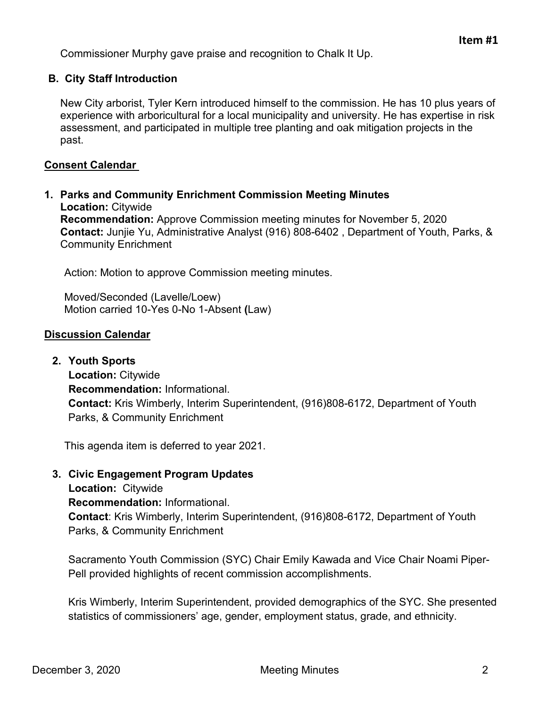Commissioner Murphy gave praise and recognition to Chalk It Up.

#### **B. City Staff Introduction**

New City arborist, Tyler Kern introduced himself to the commission. He has 10 plus years of experience with arboricultural for a local municipality and university. He has expertise in risk assessment, and participated in multiple tree planting and oak mitigation projects in the past.

#### **Consent Calendar**

**1. Parks and Community Enrichment Commission Meeting Minutes Location:** Citywide **Recommendation:** Approve Commission meeting minutes for November 5, 2020 **Contact:** Junjie Yu, Administrative Analyst (916) 808-6402 , Department of Youth, Parks, & Community Enrichment

Action: Motion to approve Commission meeting minutes.

Moved/Seconded (Lavelle/Loew) Motion carried 10-Yes 0-No 1-Absent **(**Law)

#### **Discussion Calendar**

**2. Youth Sports**

**Location:** Citywide **Recommendation:** Informational. **Contact:** Kris Wimberly, Interim Superintendent, (916)808-6172, Department of Youth Parks, & Community Enrichment

This agenda item is deferred to year 2021.

**3. Civic Engagement Program Updates** 

**Location:** Citywide **Recommendation:** Informational. **Contact**: Kris Wimberly, Interim Superintendent, (916)808-6172, Department of Youth Parks, & Community Enrichment

Sacramento Youth Commission (SYC) Chair Emily Kawada and Vice Chair Noami Piper-Pell provided highlights of recent commission accomplishments.

Kris Wimberly, Interim Superintendent, provided demographics of the SYC. She presented statistics of commissioners' age, gender, employment status, grade, and ethnicity.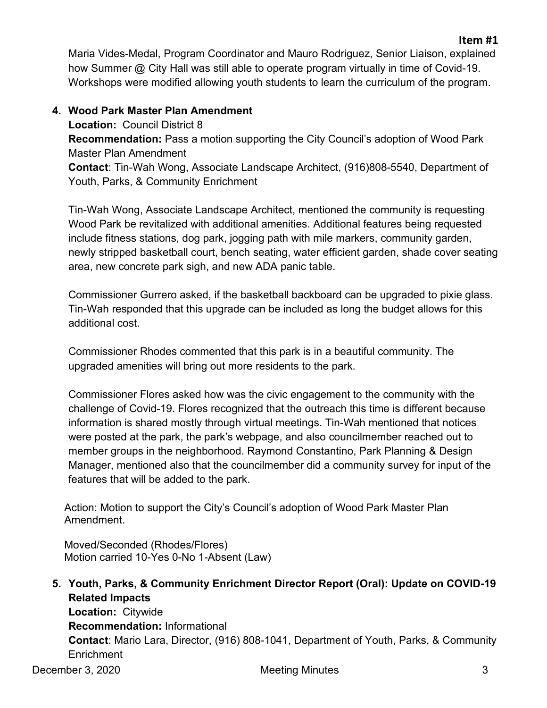## **4. Wood Park Master Plan Amendment**

**Location:** Council District 8 **Recommendation:** Pass a motion supporting the City Council's adoption of Wood Park Master Plan Amendment **Contact**: Tin-Wah Wong, Associate Landscape Architect, (916)808-5540, Department of Youth, Parks, & Community Enrichment

Tin-Wah Wong, Associate Landscape Architect, mentioned the community is requesting Wood Park be revitalized with additional amenities. Additional features being requested include fitness stations, dog park, jogging path with mile markers, community garden, newly stripped basketball court, bench seating, water efficient garden, shade cover seating area, new concrete park sigh, and new ADA panic table.

Commissioner Gurrero asked, if the basketball backboard can be upgraded to pixie glass. Tin-Wah responded that this upgrade can be included as long the budget allows for this additional cost.

Commissioner Rhodes commented that this park is in a beautiful community. The upgraded amenities will bring out more residents to the park.

Commissioner Flores asked how was the civic engagement to the community with the challenge of Covid-19. Flores recognized that the outreach this time is different because information is shared mostly through virtual meetings. Tin-Wah mentioned that notices were posted at the park, the park's webpage, and also councilmember reached out to member groups in the neighborhood. Raymond Constantino, Park Planning & Design Manager, mentioned also that the councilmember did a community survey for input of the features that will be added to the park.

Action: Motion to support the City's Council's adoption of Wood Park Master Plan Amendment.

Moved/Seconded (Rhodes/Flores) Motion carried 10-Yes 0-No 1-Absent (Law)

December 3, 2020 3 **5. Youth, Parks, & Community Enrichment Director Report (Oral): Update on COVID-19 Related Impacts Location:** Citywide **Recommendation:** Informational **Contact**: Mario Lara, Director, (916) 808-1041, Department of Youth, Parks, & Community **Enrichment** 

**Item #1**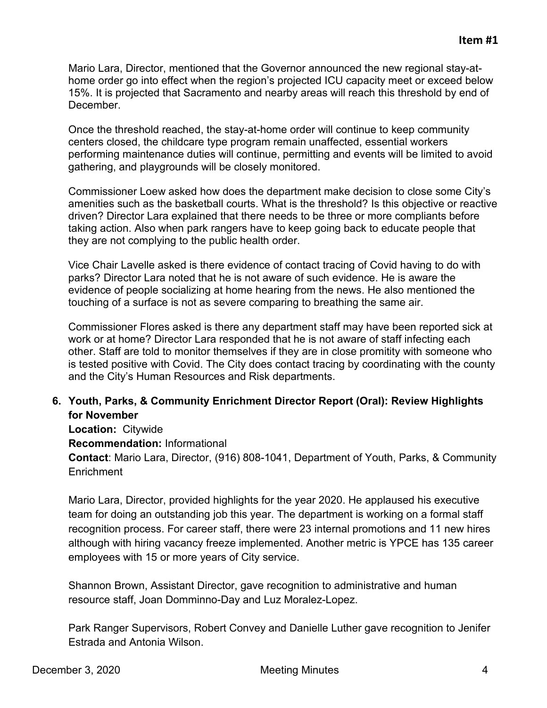Mario Lara, Director, mentioned that the Governor announced the new regional stay-athome order go into effect when the region's projected ICU capacity meet or exceed below 15%. It is projected that Sacramento and nearby areas will reach this threshold by end of December.

Once the threshold reached, the stay-at-home order will continue to keep community centers closed, the childcare type program remain unaffected, essential workers performing maintenance duties will continue, permitting and events will be limited to avoid gathering, and playgrounds will be closely monitored.

Commissioner Loew asked how does the department make decision to close some City's amenities such as the basketball courts. What is the threshold? Is this objective or reactive driven? Director Lara explained that there needs to be three or more compliants before taking action. Also when park rangers have to keep going back to educate people that they are not complying to the public health order.

Vice Chair Lavelle asked is there evidence of contact tracing of Covid having to do with parks? Director Lara noted that he is not aware of such evidence. He is aware the evidence of people socializing at home hearing from the news. He also mentioned the touching of a surface is not as severe comparing to breathing the same air.

Commissioner Flores asked is there any department staff may have been reported sick at work or at home? Director Lara responded that he is not aware of staff infecting each other. Staff are told to monitor themselves if they are in close promitity with someone who is tested positive with Covid. The City does contact tracing by coordinating with the county and the City's Human Resources and Risk departments.

#### **6. Youth, Parks, & Community Enrichment Director Report (Oral): Review Highlights for November**

**Location:** Citywide

#### **Recommendation:** Informational

**Contact**: Mario Lara, Director, (916) 808-1041, Department of Youth, Parks, & Community **Enrichment** 

Mario Lara, Director, provided highlights for the year 2020. He applaused his executive team for doing an outstanding job this year. The department is working on a formal staff recognition process. For career staff, there were 23 internal promotions and 11 new hires although with hiring vacancy freeze implemented. Another metric is YPCE has 135 career employees with 15 or more years of City service.

Shannon Brown, Assistant Director, gave recognition to administrative and human resource staff, Joan Domminno-Day and Luz Moralez-Lopez.

Park Ranger Supervisors, Robert Convey and Danielle Luther gave recognition to Jenifer Estrada and Antonia Wilson.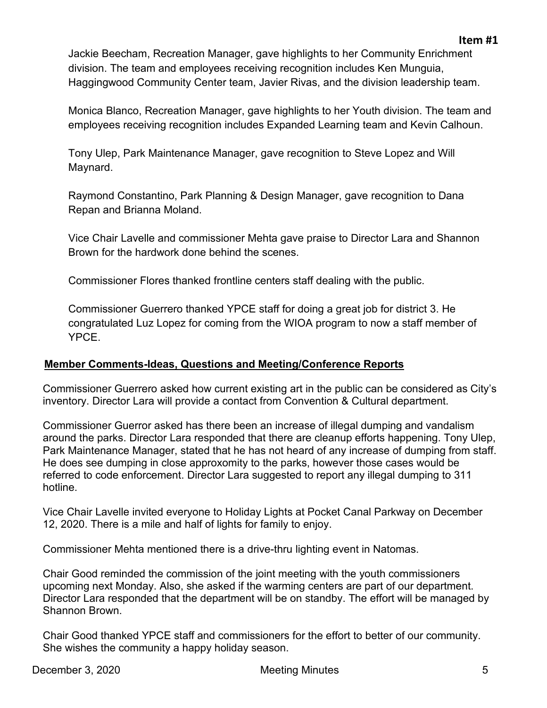Jackie Beecham, Recreation Manager, gave highlights to her Community Enrichment division. The team and employees receiving recognition includes Ken Munguia, Haggingwood Community Center team, Javier Rivas, and the division leadership team.

Monica Blanco, Recreation Manager, gave highlights to her Youth division. The team and employees receiving recognition includes Expanded Learning team and Kevin Calhoun.

Tony Ulep, Park Maintenance Manager, gave recognition to Steve Lopez and Will Maynard.

Raymond Constantino, Park Planning & Design Manager, gave recognition to Dana Repan and Brianna Moland.

Vice Chair Lavelle and commissioner Mehta gave praise to Director Lara and Shannon Brown for the hardwork done behind the scenes.

Commissioner Flores thanked frontline centers staff dealing with the public.

Commissioner Guerrero thanked YPCE staff for doing a great job for district 3. He congratulated Luz Lopez for coming from the WIOA program to now a staff member of YPCE.

## **Member Comments-Ideas, Questions and Meeting/Conference Reports**

Commissioner Guerrero asked how current existing art in the public can be considered as City's inventory. Director Lara will provide a contact from Convention & Cultural department.

Commissioner Guerror asked has there been an increase of illegal dumping and vandalism around the parks. Director Lara responded that there are cleanup efforts happening. Tony Ulep, Park Maintenance Manager, stated that he has not heard of any increase of dumping from staff. He does see dumping in close approxomity to the parks, however those cases would be referred to code enforcement. Director Lara suggested to report any illegal dumping to 311 hotline.

Vice Chair Lavelle invited everyone to Holiday Lights at Pocket Canal Parkway on December 12, 2020. There is a mile and half of lights for family to enjoy.

Commissioner Mehta mentioned there is a drive-thru lighting event in Natomas.

Chair Good reminded the commission of the joint meeting with the youth commissioners upcoming next Monday. Also, she asked if the warming centers are part of our department. Director Lara responded that the department will be on standby. The effort will be managed by Shannon Brown.

Chair Good thanked YPCE staff and commissioners for the effort to better of our community. She wishes the community a happy holiday season.